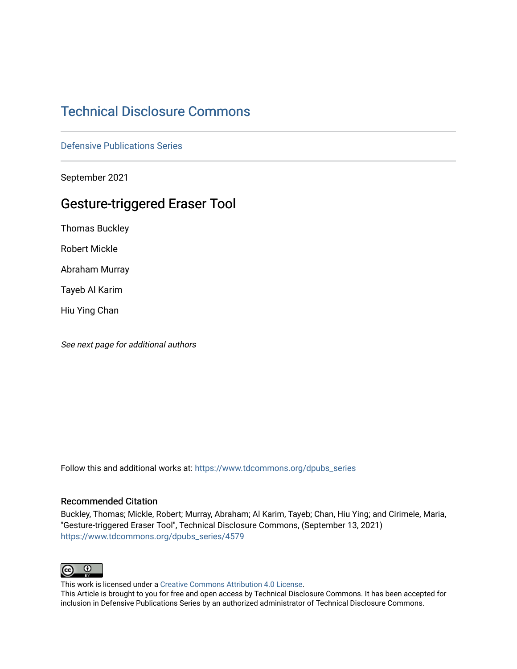# [Technical Disclosure Commons](https://www.tdcommons.org/)

[Defensive Publications Series](https://www.tdcommons.org/dpubs_series)

September 2021

# Gesture-triggered Eraser Tool

Thomas Buckley

Robert Mickle

Abraham Murray

Tayeb Al Karim

Hiu Ying Chan

See next page for additional authors

Follow this and additional works at: [https://www.tdcommons.org/dpubs\\_series](https://www.tdcommons.org/dpubs_series?utm_source=www.tdcommons.org%2Fdpubs_series%2F4579&utm_medium=PDF&utm_campaign=PDFCoverPages) 

#### Recommended Citation

Buckley, Thomas; Mickle, Robert; Murray, Abraham; Al Karim, Tayeb; Chan, Hiu Ying; and Cirimele, Maria, "Gesture-triggered Eraser Tool", Technical Disclosure Commons, (September 13, 2021) [https://www.tdcommons.org/dpubs\\_series/4579](https://www.tdcommons.org/dpubs_series/4579?utm_source=www.tdcommons.org%2Fdpubs_series%2F4579&utm_medium=PDF&utm_campaign=PDFCoverPages)



This work is licensed under a [Creative Commons Attribution 4.0 License](http://creativecommons.org/licenses/by/4.0/deed.en_US).

This Article is brought to you for free and open access by Technical Disclosure Commons. It has been accepted for inclusion in Defensive Publications Series by an authorized administrator of Technical Disclosure Commons.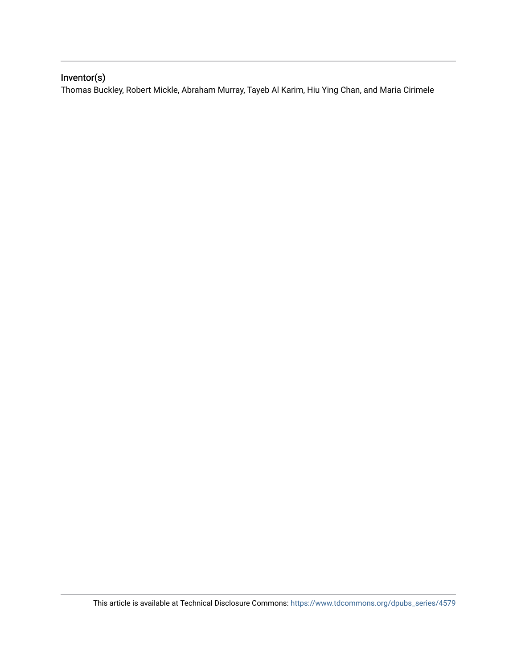# Inventor(s)

Thomas Buckley, Robert Mickle, Abraham Murray, Tayeb Al Karim, Hiu Ying Chan, and Maria Cirimele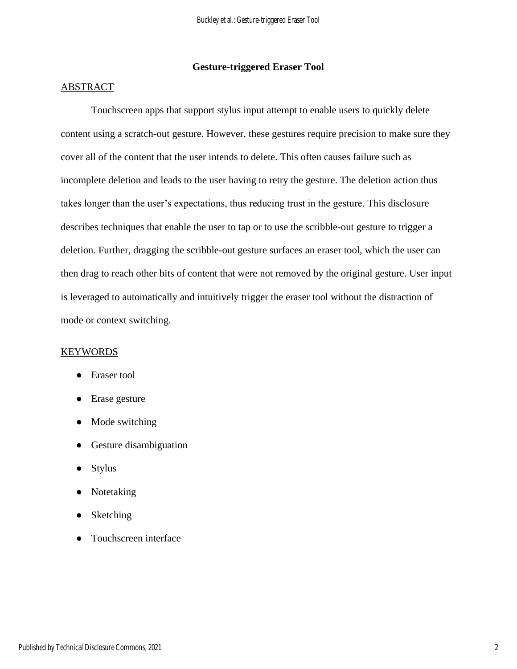## **Gesture-triggered Eraser Tool**

### ABSTRACT

Touchscreen apps that support stylus input attempt to enable users to quickly delete content using a scratch-out gesture. However, these gestures require precision to make sure they cover all of the content that the user intends to delete. This often causes failure such as incomplete deletion and leads to the user having to retry the gesture. The deletion action thus takes longer than the user's expectations, thus reducing trust in the gesture. This disclosure describes techniques that enable the user to tap or to use the scribble-out gesture to trigger a deletion. Further, dragging the scribble-out gesture surfaces an eraser tool, which the user can then drag to reach other bits of content that were not removed by the original gesture. User input is leveraged to automatically and intuitively trigger the eraser tool without the distraction of mode or context switching.

### **KEYWORDS**

- Eraser tool
- Erase gesture
- Mode switching
- Gesture disambiguation
- Stylus
- Notetaking
- Sketching
- Touchscreen interface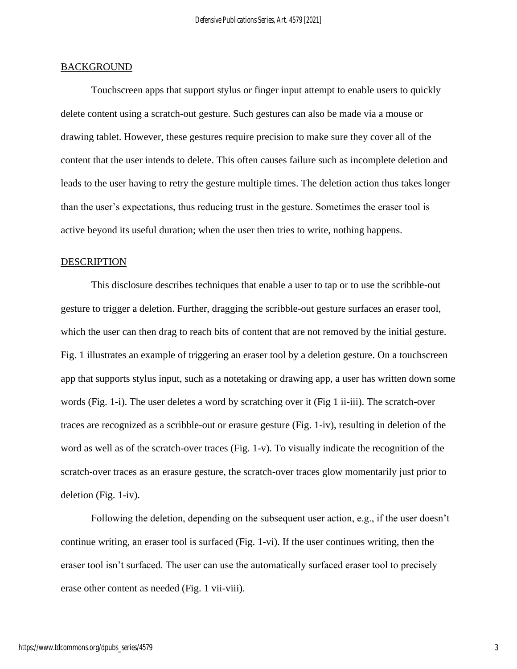#### **BACKGROUND**

Touchscreen apps that support stylus or finger input attempt to enable users to quickly delete content using a scratch-out gesture. Such gestures can also be made via a mouse or drawing tablet. However, these gestures require precision to make sure they cover all of the content that the user intends to delete. This often causes failure such as incomplete deletion and leads to the user having to retry the gesture multiple times. The deletion action thus takes longer than the user's expectations, thus reducing trust in the gesture. Sometimes the eraser tool is active beyond its useful duration; when the user then tries to write, nothing happens.

#### DESCRIPTION

This disclosure describes techniques that enable a user to tap or to use the scribble-out gesture to trigger a deletion. Further, dragging the scribble-out gesture surfaces an eraser tool, which the user can then drag to reach bits of content that are not removed by the initial gesture. Fig. 1 illustrates an example of triggering an eraser tool by a deletion gesture. On a touchscreen app that supports stylus input, such as a notetaking or drawing app, a user has written down some words (Fig. 1-i). The user deletes a word by scratching over it (Fig 1 ii-iii). The scratch-over traces are recognized as a scribble-out or erasure gesture (Fig. 1-iv), resulting in deletion of the word as well as of the scratch-over traces (Fig. 1-v). To visually indicate the recognition of the scratch-over traces as an erasure gesture, the scratch-over traces glow momentarily just prior to deletion (Fig. 1-iv).

Following the deletion, depending on the subsequent user action, e.g., if the user doesn't continue writing, an eraser tool is surfaced (Fig. 1-vi). If the user continues writing, then the eraser tool isn't surfaced. The user can use the automatically surfaced eraser tool to precisely erase other content as needed (Fig. 1 vii-viii).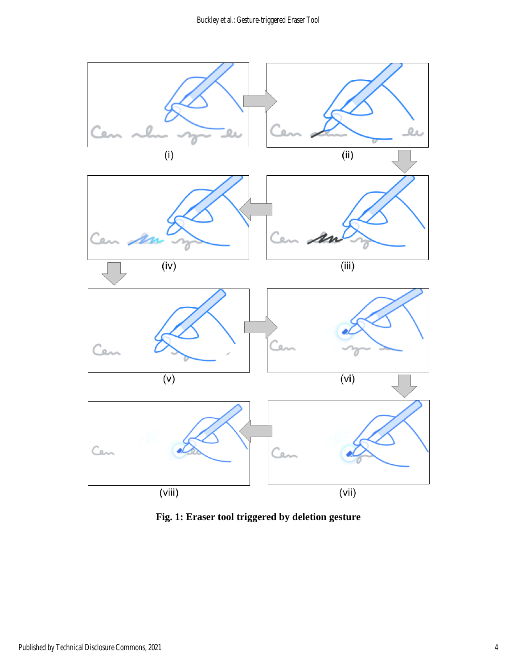

**Fig. 1: Eraser tool triggered by deletion gesture**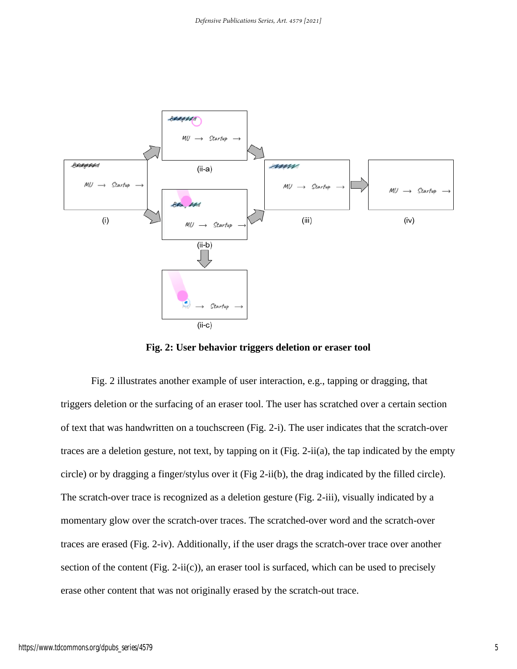

**Fig. 2: User behavior triggers deletion or eraser tool** 

Fig. 2 illustrates another example of user interaction, e.g., tapping or dragging, that triggers deletion or the surfacing of an eraser tool. The user has scratched over a certain section of text that was handwritten on a touchscreen (Fig. 2-i). The user indicates that the scratch-over traces are a deletion gesture, not text, by tapping on it (Fig. 2-ii(a), the tap indicated by the empty circle) or by dragging a finger/stylus over it (Fig 2-ii(b), the drag indicated by the filled circle). The scratch-over trace is recognized as a deletion gesture (Fig. 2-iii), visually indicated by a momentary glow over the scratch-over traces. The scratched-over word and the scratch-over traces are erased (Fig. 2-iv). Additionally, if the user drags the scratch-over trace over another section of the content (Fig. 2-ii(c)), an eraser tool is surfaced, which can be used to precisely erase other content that was not originally erased by the scratch-out trace.